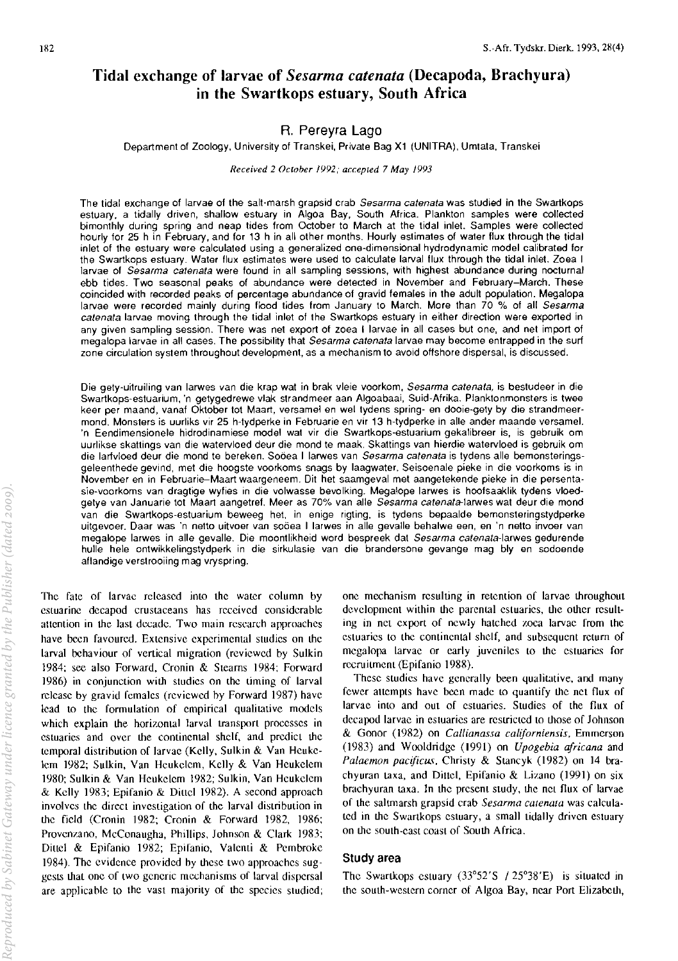# Tidal exchange of larvae of *Sesarma catenata* (Decapoda, Brachyura) in the Swartkops estuary, South Africa

# R. Pereyra Lago

Department of Zoology, University of Transkei, Private Bag XI (UNITRA), Umtata, Transkei

*Received* 2 *October 1992,· accepted* 7 *May /993* 

The tidal exchange of larvae of the salt-marsh grapsid crab *Sesarma catenata* was studied in the Swartkops estuary, a tidally driven, shallow estuary in Algoa Bay, South Africa. Plankton samples were collected bimonthly during spring and neap tides from October to March at the tidal inlet. Samples were collected hourly for 25 h in February, and for 13 h in all other months. Hourly estimates of water flux through the tidal inlet of the estuary were calculated using a generalized one-dimensional hydrodynamic model calibrated for the Swartkops estuary. Water flux estimates were used to calculate larval flux through the tidal inlet. *loea* I larvae of *Sesarma catenata* were found in all sampling sessions, with highest abundance during nocturnal ebb tides. Two seasonal peaks of abundance were detected in November and February-March. These coincided with recorded peaks of percentage abundance of gravid females in the adull population. Megalopa larvae were recorded mainly during flood tides from January to March. More than 70 % of all *Sesarma catenata* larvae moving through the tidal inlet of the Swartkops estuary in either direction were exported in any given sampling session. There was net export of zoea I larvae in all cases but one, and net import of megalopa larvae in all cases. The possibility that *Sesarma catenata* larvae may become entrapped in the surf zone circulation system throughout development, as a mechanism to avoid offshore dispersal, is discussed.

Die gety·uitruiling van larwes van die krap wat in brak vleie voorkom, *Sesarma catenata,* is bestudeer in die Swartkops·estuarium, 'n getygedrewe vlak strandmeer aan Algoabaai, Suid·Afrika. Planktonmonsters is twee keer per maand, vanaf Oktober tot Maart, versamel en wei tydens spring· en dooie·gety by die strandmeer· mond. Monsters is uurliks vir 25 h·tydperke in Februarie en vir 13 h·tydperke in aile ander maande versamel. 'n Eendimensionele hidrodinamiese model wat vir die Swartkops·estuarium gekalibreer is, is gebruik om uurlikse skattings van die watervloed deur die mond te maak. Skattings van hierdie watervloed is gebruik om die larivloed deur die mond te bereken. Sooea I larwes van *Sesarma catenata* is tydens aile bemonsteringsgeleenthede gevind, met die hoogste voorkoms snags by laagwater. Seisoenale pieke in die voorkoms is in November en in Februarie--Maart waargeneem. Oit het saamgeval met aangetekende pieke in die persenta· sie-voorkoms van dragtige wyfies in die volwasse bevolking. Megalope larwes is hoofsaaklik tydens vloedgetye van Januarie tot Maart aangetref. Meer as 70% van aile *Sesarma catenata-Iarwes* wat deur die mond van die Swartkops-estuarium beweeg het, in enige rigting, is tydens bepaalde bemonsteringstydperke uitgevoer. Daar was 'n netto uitvoer van soöea I larwes in alle gevalle behalwe een, en 'n netto invoer van megalope larwes in aile gevalle. Die moontlikheid word bespreek dat *Sesarma catenata-Iarwes* gedurende hulle hele ontwikkelingstydperk in die sirkulasie van die brandersone gevange mag bly en sodoende aflandige verstrooiing mag vryspring.

The fate of larvae released into the water column by estuarine decapod crustaceans has received considerable attention in the last decade. Two main research approaches have been favoured. Extensive experimental studies on the larval behaviour of vertical migration (reviewed by Sulkin 1984; see also Forward, Cronin & Steams 1984; Forward 1986) in conjunction with studies on the timing of larval release by gravid females (reviewed hy Forward 1987) have lead to the formulation of empirical qualitative models which explain the horizontal larval transport processes in estuaries and over the continental shelf, and predict the temporal distrihution of larvae (Kelly, Sulkin & Van Heukelem 1982; Sulkin, Van Heukelem, Kelly & Van Heukelem 1980; Sulkin & Van Heukelem 1982; Sulkin, Van Heukelem & Kelly 1983; Epifanio & Dillel 1982). A second approach involves the direct investigation of the larval distribution in the field (Cronin 1982; Cronin & Forward 1982, 1986; Provenzano, McConaugha, Phillips, Johnson & Clark 1983; Dittel & Epifanio 1982; Epifanio, Valenti & Pembroke 1984). The evidence provided by these two approaches suggests that one of two generic mechanisms of larval dispersal are applicable to the vast majority of the species studied;

one mechanism resulting in retention of larvae throughout development within the parental estuaries, the other resulting in net export of newly hatched zoea larvae from the estuaries to the continental shelf, and subsequent return of megalopa larvae or early juveniles to the estuaries for recruitment (Epifanio 1988).

These studies have generally been qualitative, and many fewer attempts have been made to quantify the net flux of larvae into and out of estuaries. Studies of the flux of decapod larvae in estuaries are restricted to those of lohnson & Gonor (1982) on *Callianassa californiensis,* Emmerson (1983) and Wooldridge (1991) on *Upogebia africana* and Palaemon pacificus, Christy & Stancyk (1982) on 14 brachyuran taxa, and Dittel, Epifanio & Lizano (1991) on six brachyuran taxa. In the present study, the net flux of larvae of the salunarsh grapsid crab *Sesarma catenata* was calculated in the Swankops estuary, a small tidally driven estuary on the south-cast coast of South Africa.

## Study area

The Swankops estuary (33°52'S /25°38'E) is situated in the south-western corner of Algoa Bay, near Port Elizabeth,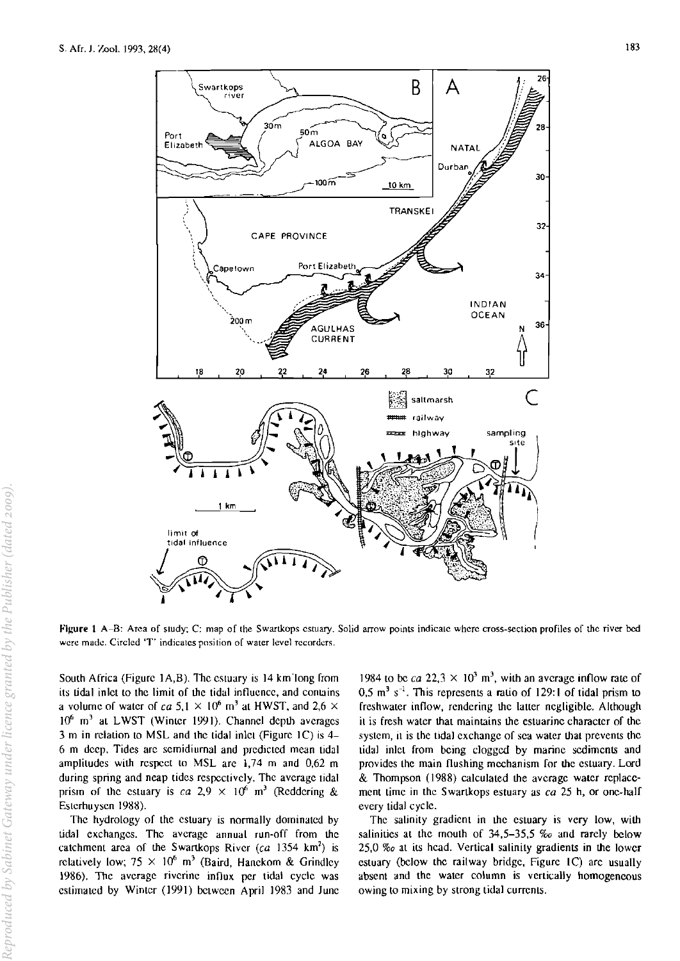

**Figure 1 A-B:** Area of study; C: map of the Swartkops estuary. Solid arrow points indicate where cross-section profiles of the river bed **were madc. Circled 'T' indicates position of water level recorders.** 

South Africa (Figure  $1A,B$ ). The estuary is  $14$  km long from its tidal inlet to the limit of the tidal influence, and contains a volume of water of ca 5,1  $\times$  10<sup>6</sup> m<sup>3</sup> at HWST, and 2,6  $\times$  $10^6$  m<sup>3</sup> at LWST (Winter 1991). Channel depth averages  $3$  m in relation to MSL and the tidal inlet (Figure 1C) is  $4-$ 6 m deep, Tides arc semidiumal and predicted mean tidal amplitudes with respect to MSL arc 1,74 m and 0,62 m during spring and neap tides respectively, The average tidal prism of the estuary is ca 2,9  $\times$  10<sup>6</sup> m<sup>3</sup> (Reddering & Esterhuysen 1988),

The hydrology of the estuary is normally dominated by **tidal exchanges. The average annual run-off from the**  catchment area of the Swartkops River  $(ca 1354 km<sup>2</sup>)$  is relatively low;  $75 \times 10^6$  m<sup>3</sup> (Baird, Hanekom & Grindley 1986). The average riverine influx per tidal cycle was estimated by Winter (1991) betwccn April 1983 and June

1984 to be ca  $22.3 \times 10^3$  m<sup>3</sup>, with an average inflow rate of  $0.5$  m<sup>3</sup> s<sup>-1</sup>. This represents a ratio of 129:1 of tidal prism to freshwater inflow, rendering the latter negligible, Although it is fresh water that maintains the estuarine character of the system, It is the tidal exchange of sea water that prevents the tidal inlet from being clogged by marine sediments and provides the main flushing mechanism for the estuary, Lord & Thompson (1988) calculated the average water replacement time in the Swartkops estuary as ca 25 h, or one-half every tidal cycle,

The salinity gradient in the estuary is very low, with salinities at the mouth of 34,5-35,5  $\%$  and rarely below 25,0 *%0* at its head, Vertical salinity gradients in the lower estuary (below the railway bridge, Figure  $IC$ ) are usually absent and the water column is vertically homogeneous owing to mixing by strong tidal currents,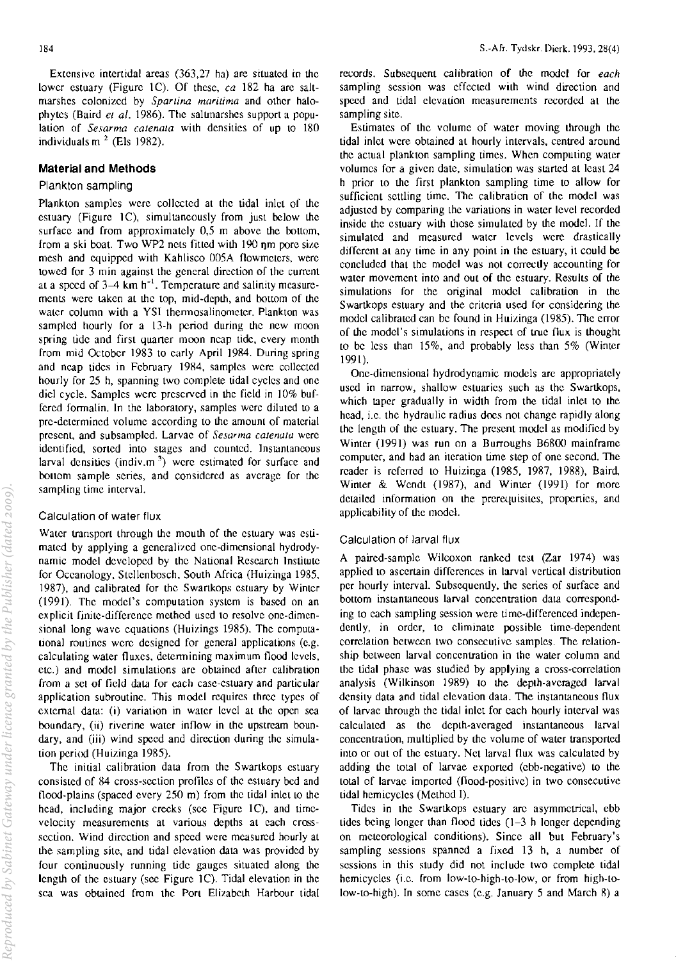Extensive intertidal areas (363,27 hal are situated in the lower estuary (Figure 1C). Of these, *ca* 182 ha are saltmarshes colonized by *Sparlina maritima* and other halophytes (Baird *el al.* 1986). The salunarshes support a population of *Sesarma calenala* with densities of up to 180 individuals m $<sup>2</sup>$  (Els 1982).</sup>

#### **Material and Methods**

### Plankton sampling

Plankton samples were collected at the tidal inlet of the estuary (Figure  $1C$ ), simultaneously from just below the surface and from approximately 0,5 m above the bottom, from a ski boat. Two WP2 nets fitted with  $190$  nm pore size. mesh and equipped with Kahlisco 005A flowmeters, were **lowed for 3 min against the general direction of the current**  at a speed of  $3-4$  km h<sup>-1</sup>. Temperature and salinity measurements were taken at the top, mid-depth, and bottom of the water column with a YSI thermosalinometer. Plankton was sampled hourly for a 13-h period during the new moon spring tide and first quarter moon neap tide, every month from mid October 1983 to early April 1984. During spring and neap tides in February 1984, samples were collected hourly for 25 h, spanning two complete tidal cycles and one diel cycle. Samples were prescrved in thc field in 10% buffered formalin. In the laboratory, samples werc diluted to a pre-determined volume according to the amount of material **prescnt.. and subsamplcd. Larvae of** *Sesarma* **calenala were identified. sorted into stages and counted. Instantaneous**  larval densities (indiv.m<sup>3</sup>) were estimated for surface and bollom sample series, and considered as average for the **sampling time interval.** 

#### Calculation of water flux

Water transport through the mouth of the estuary was estimated by applying a generalized one-dimensional hydrodynamic model developed by the National Research Institute for Oceanology, Stellenbosch, South Africa (Huizinga 1985, 1987), and calibrated for the Swankops estuary by Winter (1991). The model's computation system is based on an explicit finite-difference method used to resolve one-dimensional long wave equations (Huizings 1985). The computational routines were designed for general applications (e.g. **calculating water fluxes, determining maximum flood levels,** etc.) and model simulations are obtained after calibration from a set of field data for each case-estuary and panicular application subroutine. This model requires three types of external data: (i) variation in water level at the open sea boundary,  $(ii)$  riverine water inflow in the upstream boundary, and (iii) wind speed and direction during the simulation period (Huizinga 1985).

The initial calibration data from the Swartkops estuary consisted of 84 cross-section profiles of the estuary bed and flood-plains (spaced every  $250 \text{ m}$ ) from the tidal inlet to the head, including major creeks (see Figure 1C), and timevelocity measurements at various depths at each crosssection. Wind direction and speed were measured hourly at the sampling site, and tidal elevation data was provided by four continuously running tide gauges situated along the length of the estuary (see Figure 1C). Tidal elevation in the sea was obtained from the Port Elizabeth Harbour tidal

records. Subsequent calibration of the model for *each*  sampling session was effected with wind direction and speed and tidal elevation measurements recorded at the sampling site.

Estimates of the volume of waler moving through the tidal inlet were obtained at hourly intervals, centred around the actual plankton sampling times. When computing water volumes for a given date, simulation was started at least 24 h prior to the first plankton sampling time to allow for sufficient settling time. The calibration of the model was adjusted by comparing the variations in water level recorded inside the estuary with those simulated by the model. If the simulated and measured water levels were drastically different at any time in any point in the estuary. it could be concluded that the model was not correctly accounting for water movement into and out of the estuary. Results of the simulations for the original model calibration in the Swartkops estuary and the criteria used for considering the model calibrated can be found in Huizinga (1985). The error of the model's simulations in respect of true flux is thought to be less than 15%. and probably less than 5% (Winter 1991).

One-dimensional hydrodynamic models arc appropriately used in narrow, shallow estuaries such as the Swartkops, which taper gradually in width from the tidal inlet to the head, i.e. the hydraulic radius does not change rapidly along the length of the estuary. The present model as modified by Winter (1991) was run on a Burroughs B6800 mainframe computer, and had an iteration time step of one second. The reader is referred to Huizinga (1985. 1987. 1988). Baird, Winter & Wendt (1987), and Winter (1991) for more detailed information on the prerequisites, properties, and applicability of the model.

#### Calculation of larval flux

A paired-sample Wilcoxon ranked test (Zar 1974) was applied to ascertain differences in larval vertical distribution per hourly interval. Subsequently, the series of surface and bottom instantaneous larval concentration data correspond**ing to each sampling session were time-differenced indcpcn**dently, in order, to eliminate possible time-dependent **correlation between two consecutive samples. The relation**ship between larval concentration in the waler column and the tidal phase was studied by applying a cross-correlation analysis (Wilkinson 1989) to the depth-averaged larval density data and tidal elevation data. The instantaneous flux of larvae through the tidal inlet for each hourly interval was calculated as the depth-averaged instantaneous larval concentration, multiplied by the volume of waler transported into or out of the estuary. Net larval flux was calculated by adding the total of larvae exported (ebb-negative) to the total of larvae imported (flood-positive) in two consecutive tidal hemicycles (Method I).

Tides in the Swartkops estuary arc asymmetrical. ebb tides being longer than flood tides  $(1-3)$  h longer depending on meteorological conditions). Since all but February's sampling sessions spanned a fixed 13 h. a number of sessions in this study did not include two complete tidal hemicycles (i.e. from low-to-high-to-low, or from high-tolow-to-high). In some cases (e.g. January 5 and March 8) a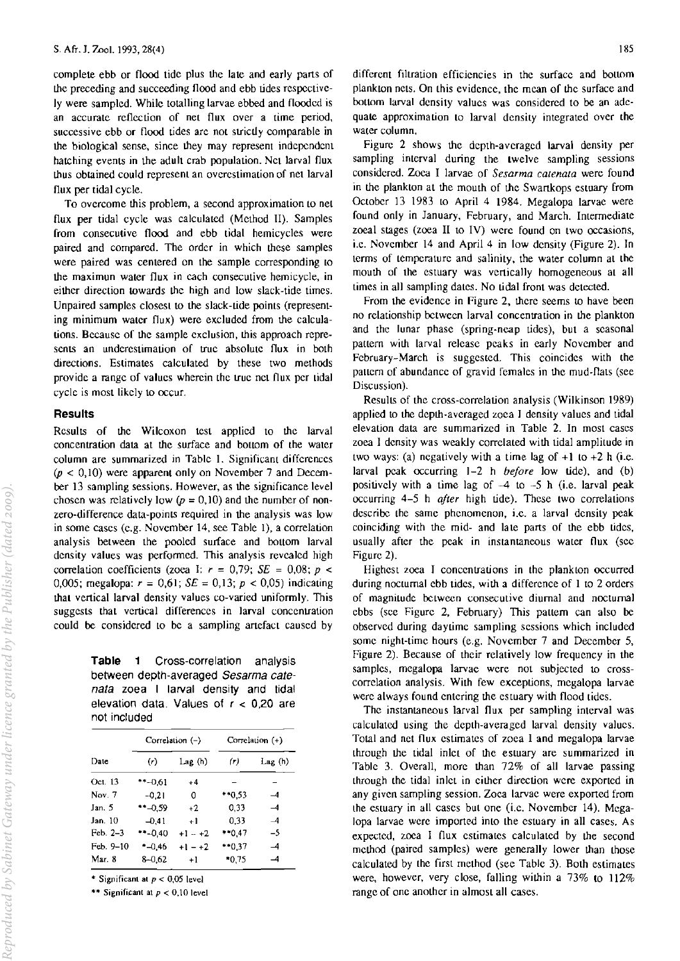complete ebb or flood tide plus the late and early parts of the preceding and succeeding flood and ebb tides respectively were sampled. While totalling larvae ebbed and flooded is an accurate reflection of net flux over a time period, successive ebb or flood tides are not strictly comparable in the biological sense, since they may represent independent hatching events in the adult crab population. Net larval flux thus obtained could represent an overestimation of net larval flux per tidal cycle.

To overcome this problem, a second approximation to net flux per tidal cycle was calculated (Method II). Samples from consecutive flood and ebb tidal hemicycles were paired and compared. The order in which these samples were paired was centered on the sample corresponding to the maximun water flux in each consecutive hemicycle, in either direction IOwards the high and low slack-tide times. Unpaired samples closest to the slack-tide points (representing minimum water flux) were excluded from the calculations. Because of the sample exclusion, this approach represents an underestimation of true absolute flux in both directions. Estimates calculated by these two methods provide a range of values wherein the true net flux per tidal cycle is most likely to occur.

## **Results**

Results of the Wilcoxon test applied to the larval concentration data at the surface and bottom of the water column are summarized in Table 1. Significant differences  $(p < 0, 10)$  were apparent only on November 7 and December 13 sampling sessions. However, as the significance level chosen was relatively low  $(p = 0,10)$  and the number of nonzero-difference data-points required in the analysis was low in some cases (c.g. November 14, see Table I), a correlation analysis between the pooled surface and bottom larval density values was performed. This analysis revealcd high correlation coefficients (zoea I:  $r = 0.79$ ; *SE* = 0,08;  $p \le$ 0,005; megalopa:  $r = 0.61$ ;  $SE = 0.13$ ;  $p < 0.05$ ) indicating that vertical larval density values co-varied uniformly. This suggests that vertical differences in larval concentration could be considered to be a sampling artefact caused by

Table 1 Cross-correlation analysis between depth-averaged *Sesarma cate*nata zoea I larval density and tidal elevation data. Values of  $r < 0.20$  are not included

|           |            | Correlation (-) | Correlation (+) |                          |  |
|-----------|------------|-----------------|-----------------|--------------------------|--|
| Date      | (r)        | Lag (h)         | (r)             | Lag (h)                  |  |
| Oct. 13   | **-061     | $+4$            |                 |                          |  |
| Nov. 7    | $-0.21$    | 0               | **0.53          | -4                       |  |
| Jan. 5    | $* -0.59$  | $+2$            | 0.33            | $\overline{\phantom{0}}$ |  |
| Jan. 10   | $-0.41$    | $+1$            | 0.33            | $\overline{\phantom{a}}$ |  |
| Feb. 2–3  | $*$ -0.40  | $+1 - +2$       | $*0.47$         | -5                       |  |
| Feb. 9–10 | $* -0.46$  | $+1 - +2$       | **0.37          | $-4$                     |  |
| Mar. 8    | $8 - 0.62$ | $+1$            | $*0.75$         | -4                       |  |

\* Significant at  $p < 0.05$  level

\*\* Significant at  $p < 0.10$  level

different filtration efficiencies in the surface and bottom plankton nets. On this evidence, the mean of the surface and bottom larval density values was considered to be an adequate approximation to larval density integrated over the water column.

Figure 2 shows the depth-averaged larval density per sampling interval during the twelve sampling sessions considered. Zoca I larvae of *Sesarma catenata* were found in the plankton at the mouth of the Swartkops estuary from October 13 1983 to April 4 1984. Megalopa larvae were found only in January, February, and March. Intermediate zoeal stages (zoea II to IV) were found on two occasions, i.e. November 14 and April 4 in low density (Figure 2). In terms of temperature and salinity, the water column at the mouth of the estuary was vertically homogeneous at all times in all sampling dates. No tidal front was detected.

From the evidence in Figure 2, there seems to have been no relationship between larval concentration in the plankton and the lunar phase (spring-ncap tides), but a seasonal pattern with larval release peaks in early November and February-March is suggested. This coincides with the pattern of abundance of gravid females in the mud-flats (see Discussion).

Results of the cross-correlation analysis (Wilkinson 1989) applied to the depth-averaged zoea I density values and tidal elevation data are summarized in Tablc 2. In most cases zoea I density was weakJy correlated with tidal amplitude in two ways: (a) negatively with a time lag of  $+1$  to  $+2$  h (i.e. larval peak occurring 1-2 h *before* low tide), and (b) positively with a time lag of  $-4$  to  $-5$  h (i.e. larval peak occurring 4-5 h *afler* high tide). These two correlations describe the same phenomenon, i.e. a larval density peak coinciding with the mid- and late parts of the ebb tides, usually after the peak in instantaneous water flux (see Figure 2).

Highest zoea I concentrations in the plankton occurred during nocturnal ebb tides, with a difference of I to 2 orders of magnitude between consecutive diurnal and nocturnal ebbs (sec Figure 2, February) This pattern can also be observed during daytime sampling sessions which included some night-time hours (e.g. November 7 and December 5, Figure 2). Because of their relatively low frequency in the samples, megalopa larvae were not subjected to crosscorrelation analysis. With few exceptions, megalopa larvae were always found entering the estuary with flood tides.

The instantaneous larval flux per sampling interval was calculated using the depth-averaged larval density values. Total and net flux estimates of zoea I and megalopa larvae through the tidal inlet of the estuary are summarized in Table 3. Overall, more than 72% of all larvae passing through the tidal inlet in either direction were exported in any given sampling session. Zoca larvae were exported from the estuary in all cases but one (i.e. November 14). Megalopa larvae were imported into the estuary in all cases. As expected, zoea I flux estimates calculated by the second method (paired samples) were generally lower than those calculated by the first method (see Table 3). Both estimates were, however, very close, falling within a 73% to 112% range of one another in almost all cases.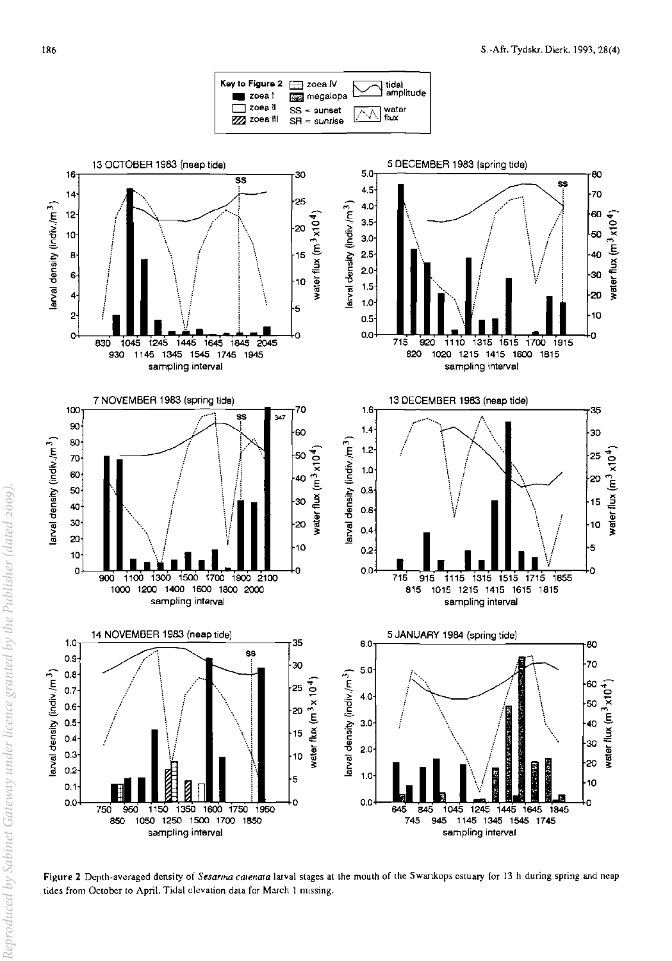

Figure 2 Depth-averaged density of Sesarma catenata larval stages at the mouth of the Swartkops estuary for 13 h during spring and neap tides from October to April. Tidal elevation data for March 1 missing.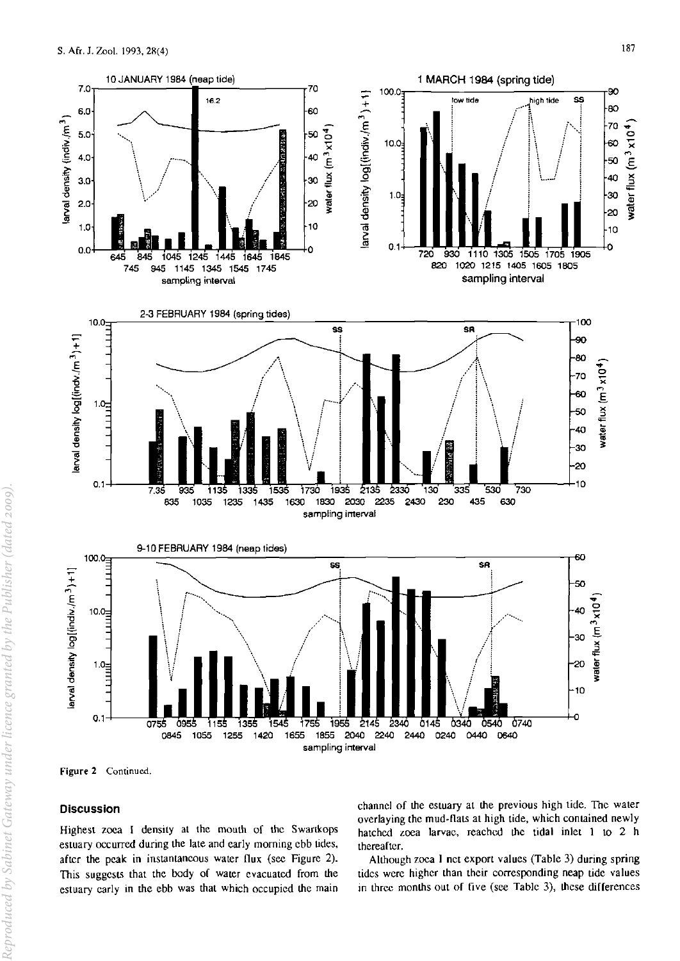

**Figure 2 Continued.** 

## **Discussion**

Highest zoea I density at the mouth of the Swartkops estuary occurred during the late and early morning ebb tides. after the peak in instantaneous water flux (see Figure 2). This suggests that the body of water evacuated from the estuary early in the ebb was that which occupied the main

channel of the estuary at the previous high tide. The water overlaying the mud-flats at high tide, which contained newly hatched zoea larvae. reached the tidal inlet 1 to 2 h thereafter.

Although zoea I net export values (Table 3) during spring tides were higher than their corresponding neap tide values in three months out of five (see Table 3), these differences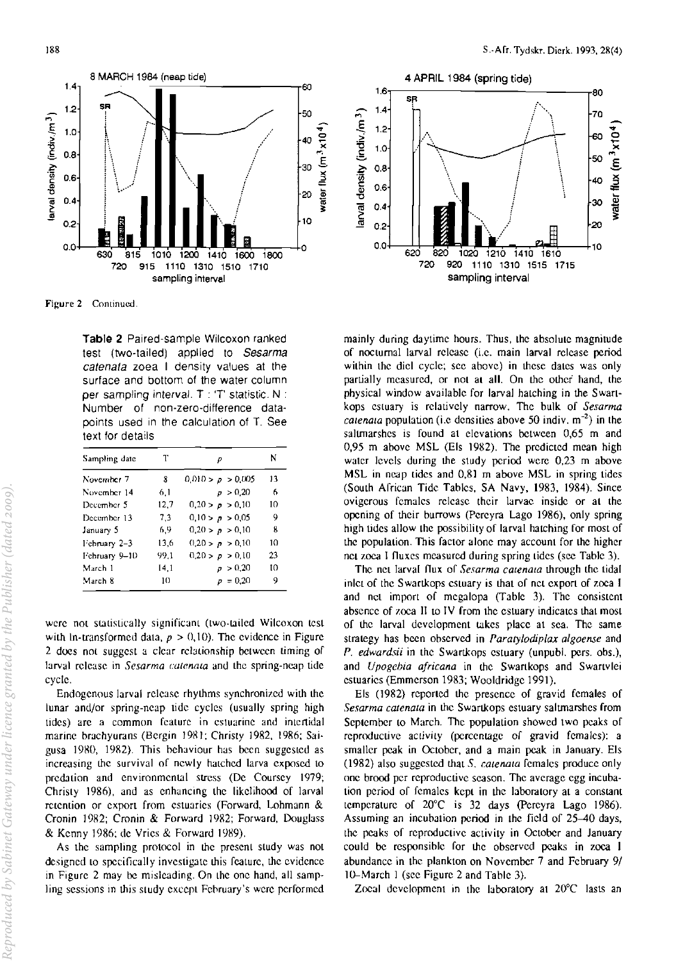

Figure 2 Continued.

Table 2 Paired-sample Wilcoxon ranked test (two-tailed) applied to Sesarma catenata zoea I density values at the surface and bottom of the water column per sampling interval. T : 'T' statistic. N : Number of non-zero-difference datapoints used in the calculation of T. See text for details

| Sampling date | т    | р                 | 13 |
|---------------|------|-------------------|----|
| November 7    | 8    | 0.010 > p > 0.005 |    |
| November 14   | 6.1  | p > 0.20          | ń  |
| December 5    | 12.7 | 0.20 > p > 0.10   | 10 |
| December 13   | 7.3  | 0,10 > p > 0,05   | 9  |
| January 5     | 6.9  | 0.20 > p > 0.10   | 8  |
| l'ebruary 2-3 | 13.6 | 0.20 > p > 0.10   | 10 |
| February 9-10 | 99.1 | 0.20 > p > 0.10   | 23 |
| March 1       | 14.1 | p > 0.20          | t٥ |
| March 8       | 10   | $p = 0.20$        | 9  |

were not statistically significant (two-tailed Wilcoxon test with ln-transformed data,  $p > 0,10$ ). The evidence in Figure 2 does not suggest a clear relationship between timing of larval release in Sesarma catenata and the spring-neap tide cycle.

Endogenous larval release rhythms synchronized with the lunar and/or spring-neap tide cycles (usually spring high tides) are a common feature in estuarine and intertidal marine brachyurans (Bergin 1981; Christy 1982, 1986; Saigusa 1980, 1982). This behaviour has been suggested as increasing the survival of newly hatched larva exposed to predation and environmental stress (De Coursey 1979; Christy 1986), and as enhancing the likelihood of larval retention or export from estuaries (Forward, Lohmann & Cronin 1982; Cronin & Forward 1982; Forward, Douglass & Kenny 1986; de Vries & Forward 1989).

As the sampling protocol in the present study was not designed to specifically investigate this feature, the evidence in Figure 2 may be misleading. On the one hand, all sampling sessions in this study except February's were performed



mainly during daytime hours. Thus, the absolute magnitude of nocturnal larval release (i.e. main larval release period within the diel cycle; see above) in these dates was only partially measured, or not at all. On the other hand, the physical window available for larval hatching in the Swartkops estuary is relatively narrow. The bulk of Sesarma *catenata* population (i.e densities above 50 indiv,  $m^{-2}$ ) in the saltmarshes is found at elevations between 0,65 m and 0,95 m above MSL (Els 1982). The predicted mean high water levels during the study period were 0,23 m above MSL in neap tides and 0,81 m above MSL in spring tides (South African Tide Tables, SA Navy, 1983, 1984). Since ovigerous females release their larvae inside or at the opening of their burrows (Pereyra Lago 1986), only spring high tides allow the possibility of larval hatching for most of the population. This factor alone may account for the higher net zoea I fluxes measured during spring tides (see Table 3).

The net larval flux of Sesarma catenata through the tidal inlet of the Swartkops estuary is that of net export of zoea I and net import of megalopa (Table 3). The consistent absence of zoca II to IV from the estuary indicates that most of the larval development takes place at sea. The same strategy has been observed in Paratylodiplax algoense and P. edwardsii in the Swartkops estuary (unpubl. pers. obs.), and Upogebia africana in the Swartkops and Swartvlei estuaries (Emmerson 1983; Wooldridge 1991).

Els (1982) reported the presence of gravid females of Sesarma catenata in the Swartkops estuary saltmarshes from September to March. The population showed two peaks of reproductive activity (percentage of gravid females): a smaller peak in October, and a main peak in January. Els (1982) also suggested that S. catenata females produce only one brood per reproductive season. The average egg incubation period of females kept in the laboratory at a constant temperature of 20°C is 32 days (Percyra Lago 1986). Assuming an incubation period in the field of 25-40 days, the peaks of reproductive activity in October and January could be responsible for the observed peaks in zoea 1 abundance in the plankton on November 7 and February 9/ 10–March 1 (see Figure 2 and Table 3).

Zocal development in the laboratory at 20°C lasts an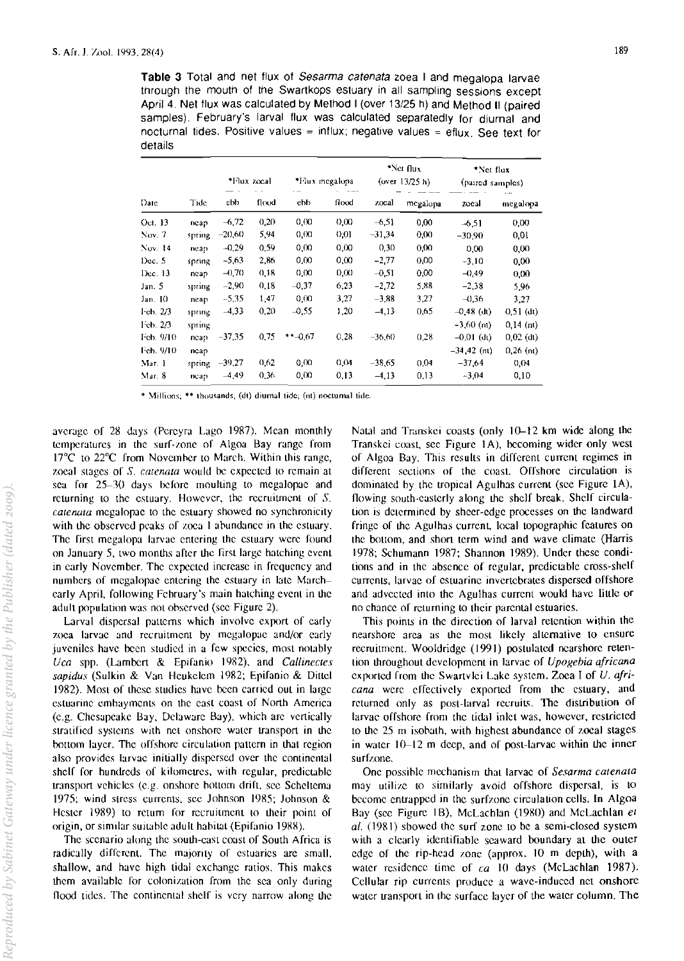Table 3 Total and net flux of Sesarma catenata zoea I and megalopa larvae through the mouth of the Swartkops estuary in all sampling sessions except April 4. Net flux was calculated by Method I (over 13/25 h) and Method II (paired samples). February's larval flux was calculated separatedly for diurnal and nocturnal tides. Positive values = influx; negative values = eflux. See text for details

| Date        | Tide   | *I·lux zocal |       | *Hux megalopa |         | *Net flux<br>(over $13/25$ h) |          | *Net flux<br>(paired samples) |             |
|-------------|--------|--------------|-------|---------------|---------|-------------------------------|----------|-------------------------------|-------------|
|             |        | chb          | flood | ebb           | flood   | zocal                         | megalopa | zocal                         | megalopa    |
| Oct. 13     | neap   | $-6,72$      | 0,20  | 0,00          | 0,00    | $-6.51$                       | 0,00     | $-6.51$                       | 0,00        |
| Now. 7      | spring | $-20,60$     | 5,94  | 0.00          | 0,01    | $-31.34$                      | 0,00     | $-30,90$                      | 0.01        |
| Nov. 14     | ncap   | $-0.29$      | 0,59  | 0.00          | 0,00    | 0,30                          | 0,00     | 0,00                          | 0,00        |
| Dec. 5      | spring | $-5,63$      | 2,86  | 0,00          | 0,00    | $-2.77$                       | 0,00     | $-3.10$                       | 0,00        |
| Dec. 13     | ncap   | $-0,70$      | 0,18  | 0.00          | 0,00    | $-0.51$                       | 0,00     | $-0,49$                       | 0.00        |
| Jan 5       | spring | $-2,90$      | 0,18  | $-0.37$       | 6.23    | $-2,72$                       | 5.88     | $-2,38$                       | 5.96        |
| Jan. 10     | neap   | $-5,35$      | 1,47  | 0.00          | 3.27    | $-3.88$                       | 3,27     | $-0.36$                       | 3,27        |
| 1 cb. $2/3$ | spring | $-4,33$      | 0,20  | $-0.55$       | 1,20    | $-4,13$                       | 0,65     | $-0.48$ (dt)                  | $0,51$ (dt) |
| Ich. 2/3    | spring |              |       |               |         |                               |          | $-3,60$ (nt)                  | $0.14$ (nt) |
| Feb. 9/10   | neap   | $-37.35$     | 0.75  | $*$ $*$ -0.67 | 0.28    | $-36,60$                      | 0.28     | $-0.01$ (dt)                  | $0,02$ (dt) |
| Feb. 9/10   | neap   |              |       |               |         |                               |          | $-34, 42$ (nt)                | $0,26$ (nt) |
| Mar. 1      | spring | $-39,27$     | 0,62  | 0,00          | (1, 04) | $-38,65$                      | 0.04     | $-37,64$                      | 0,04        |
| Mar. 8      | ncap   | $-4,49$      | 0,36  | 0,00          | 0.13    | $-4, 13$                      | 0,13     | $-3,04$                       | 0,10        |

\* Millions: \*\* thousands: (dt) diurnal tide: (nt) nocturnal tide

average of 28 days (Pereyra Lago 1987). Mean monthly temperatures in the surf-zone of Algoa Bay range from 17°C to 22°C from November to March. Within this range, zoeal stages of S. catenata would be expected to remain at sea for 25-30 days before moulting to megalopae and returning to the estuary. However, the recruitment of  $S$ . catenata megalopac to the estuary showed no synchronicity with the observed peaks of zoea 1 abundance in the estuary. The first megalopa larvae entering the estuary were found on January 5, two months after the first large hatching event in early November. The expected increase in frequency and numbers of megalopae entering the estuary in late Marchearly April, following February's main hatching event in the adult population was not observed (see Figure 2).

Larval dispersal patterns which involve export of early zoea larvae and recruitment by megalopae and/or early juveniles have been studied in a few species, most notably Uca spp. (Lambert & Epifanio 1982), and Callinectes sapidus (Sulkin & Van Heukelem 1982; Epifanio & Dittel 1982). Most of these studies have been carried out in large estuarine embayments on the east coast of North America (e.g. Chesapeake Bay, Delaware Bay), which are vertically stratified systems with net onshore water transport in the bottom layer. The offshore circulation pattern in that region also provides larvae initially dispersed over the continental shelf for hundreds of kilometres, with regular, predictable transport vehicles (e.g. onshore bottom drift, see Scheltema 1975; wind stress currents, see Johnson 1985; Johnson & Hester 1989) to return for recruitment to their point of origin, or similar suitable adult habitat (Epifanio 1988).

The scenario along the south-east coast of South Africa is radically different. The majority of estuaries are small, shallow, and have high tidal exchange ratios. This makes them available for colonization from the sea only during flood tides. The continental shelf is very narrow along the Natal and Transkei coasts (only 10-12 km wide along the Transkei coast, see Figure 1A), becoming wider only west of Algoa Bay. This results in different current regimes in different sections of the coast. Offshore circulation is dominated by the tropical Agulhas current (see Figure 1A), flowing south-easterly along the shelf break. Shelf circulation is determined by sheer-edge processes on the landward fringe of the Agulhas current, local topographic features on the bottom, and short term wind and wave climate (Harris 1978; Schumann 1987; Shannon 1989). Under these conditions and in the absence of regular, predictable cross-shelf currents, larvae of estuarine invertebrates dispersed offshore and advected into the Agulhas current would have little or no chance of returning to their parental estuaries.

This points in the direction of larval retention within the nearshore area as the most likely alternative to ensure recruitment. Wooldridge (1991) postulated nearshore retention throughout development in larvae of Upogebia africana exported from the Swartvlei Lake system. Zoea I of U. africana were effectively exported from the estuary, and returned only as post-larval recruits. The distribution of larvae offshore from the tidal inlet was, however, restricted to the 25 m isobath, with highest abundance of zoeal stages in water 10-12 m deep, and of post-larvae within the inner surfzone.

One possible mechanism that larvae of Sesarma catenata may utilize to similarly avoid offshore dispersal, is to become entrapped in the surfzone circulation cells. In Algoa Bay (see Figure 1B), McLachlan (1980) and McLachlan et al. (1981) showed the surf zone to be a semi-closed system with a clearly identifiable seaward boundary at the outer edge of the rip-head zone (approx. 10 m depth), with a water residence time of  $ca$  10 days (McLachlan 1987). Cellular rip currents produce a wave-induced net onshore water transport in the surface layer of the water column. The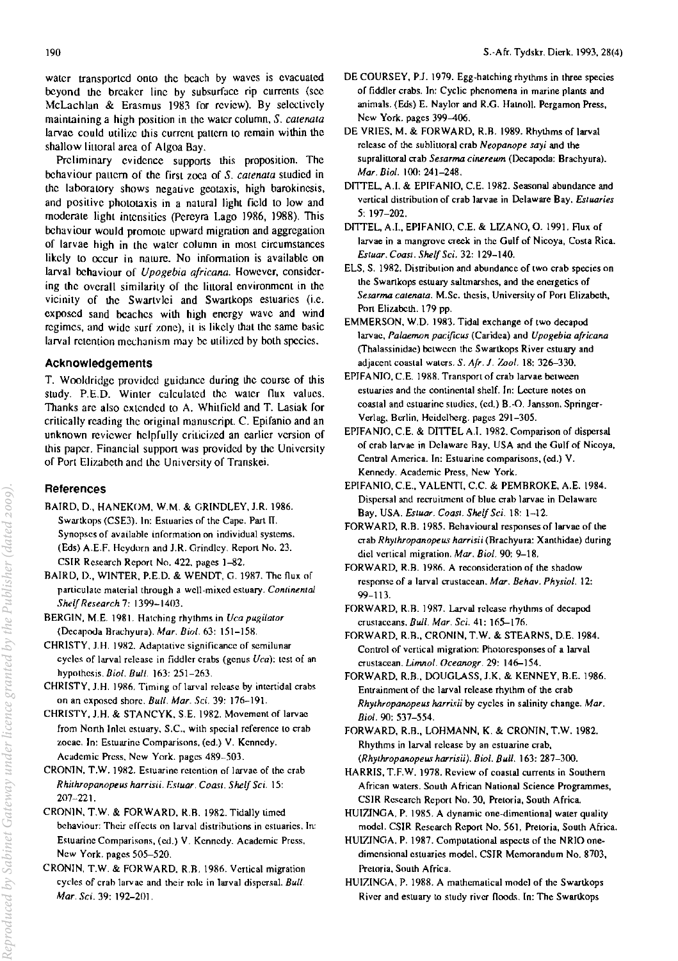water transported onto the beach by waves is evacuated beyond the breaker line by subsurface rip currents (sec McLachlan & Erasmus 1983 for review). By selectively mainlaining a high position in the water column, *S. calenala*  larvae could utilize this current pattern to remain within the shallow littoral area of Algoa Bay.

Preliminary evidence supports this proposition. The behaviour pallern of the first zoea of *S. calenala* studied in the laboratory shows negative geotaxis, high barokinesis, and positive phototaxis in a natural light field to low and moderate light intensities (Pereyra Lago 1986, 1988). This behaviour would promote upward migration and aggregation **of larvae high in the water column in most circumstances**  likely to occur in nature. No information is available on larval behaviour of *Upogebia africana.* However, consider· ing the overall similarity of the littoral environment in the vicinity of the Swartvlei and Swartkops estuaries (i.e. exposed sand beaches with high energy wave and wind **regimes, and wide surf zone), il is likely mal the same basic**  larval retemion mechanism may be utilized by both species.

### **Acknowledgements**

T. Wooldridge provided guidance during the course of this study. P.E.D. Winter calculated the water flux values. Thanks arc also extended to A. Whitfield and T. Lasiak for critically reading the original manuscript. C. Epifanio and an unknown reviewer helpfully criticized an earlier version of this paper. Financial suppon was provided by the University of Port Elizabeth and the University of Transkei.

#### **References**

- BAIRD, D., HANEKOM, W.M. & GRINDLEY, 1.R. 1986. Swartkops (CSE3). In: Estuaries of the Cape. Part II. **Synopses of available information on individual systems. (Eds) A.E.F, Hcydorn and 1.R. Grindley. Report No. 23.**  CSIR Research Report No. 422. pages 1-82.
- BAIRD, D., WINTER, P.E.D. & WENDT, G. 1987. The flux of **particulate material through a well-mixed estuary.** *Continental Shelf Research 7:* 1399-1403.
- **BERGIN, M.E. 1981. Hatching** rhythm~ **in** *Uca pugilator*  **(Decapoda Brachyura).** *Mar. Bioi.* **63: 151-158.**
- **CHRISTY, lH. 1982. Adaptative signiricance of scmilunar**  cycles of larval release in fiddler crabs (genus Uca): test of an hypothesis. *BioI. Bull.* 163: 251-263.
- CHRISTY, J.H. 1986. Timing of larval release by intertidal crabs **on an** expo~ed **shore.** *Bull, Mar. Sci.* **39: 176-19l.**
- CHRISTY, 1.H. & STANCYK, S.E. 1982. Movement of larvae **from North Inlet estuary, S.c., with special reference to crab zoeae. In: Estuarine Comparisons. (cd.) V. Kennedy, Academic Press. New York, pages 489-503.**
- **CRONIN. T.W. 1982. Estuarine retention of larvae of the crab** *Rhjthropanopeus harrisii, Estuar, Coast. Shelf Sci. 15:*  207-221.
- CRONIN, T.W. & FORWARD, R.B. 1982. Tidally timed behaviour: Their effects on larval distributions in estuaries. In: **ESlUarine Comparisons, (cd.) V, Kennedy. Academic Press.**  New York. pages 505-520.
- CRONIN, T.W. & FORWARD. R.B. 1986. Vertical migration **cycles of crah larvae and their role in larval dispersal.** *Bull Mar. Sci.* 39: 192-201.
- DE COURSEY, P.J. 1979. Egg.hatching rhythms in three species **of fiddler crabs. In: Cyclic phenomena in marine plants and animals, (Eds) E. Naylor and R.G. Hatnoll. Pergamon Press.**  New York. pages 399-406.
- DE YRIES, M. & FORWARD, R.B. 1989. Rhythms of larval **release of the sublittoral crab** *Neopanope sayj* **and the**  supralittoral crab *Sesarma cinereum* (Decapoda: Brachyura). *Mar. Bioi.* 100: 241-248.
- DITTEL, A.I. & EPIFANIO, C.E. 1982. Seasonal abundance and **vcrtical distribution of crab larvae in Delaware Bay.** *Estuaries*  5: 197-202.
- DITTEL, A.I., EPIFANIO, C.E. & LIZANO, O. 1991. Flux of **larvae in a mangrove creek in the Gulf of Nicoya, Costa Rica.**  *Escuar. Coas!. Shelf Sci.* 32: 129-140.
- **ELS. S. 1982. Distribution and abundance of two crab species on the Swartkops estuary sa1tmarshes. and the energetics of**  Sesarma catenata. M.Sc. thesis, University of Port Elizabeth, Port Elizabeth. 179 pp.
- EMMERSON, W.D. 1983. Tidal exchange of two decapod **larvae,** *Pa[aemon pacificus* **(Caridea) and** *Upogebia africana*  (Thalassinidae) between the Swartkops River estuary and adjacent coastal waters, *S. Afr. J. Zool.* 18: 326-330.
- EPIFANIO, C.E. 1988. Transport of crab larvae between **estuaries and the continental shelf, In: Lecture notes on coastal and estuarine studies. (cd.) B.-O. Jansson. Springer-Verlag. Berlin. Heidclherg, pages 291-305.**
- EPIFA NIO, C.E. & DlTTEL A.!. 1982. Comparison of dispersal **of crab larvae in Delaware Ray, USA and the Gulf of Nicoya.**  Central America. In: Estuarine comparisons, (ed.) V. **Kennedy. Academic Press, New York,**
- EPIFANIO, C.E., VALENTI, C.C. & PEMBROKE, A.E. 1984. **Dispersal and recruitment of blue crab larvae in Delaware**  Bay, USA. *Escuar. CoaS!. Shelf Sci.* 18: 1-12.
- **FORWARD. R.B. 1985. Rehavioura1 responses of larvae of the crab** *Rhythropanopeus harrisii* **(Rrachyura: Xanthidae) during diel vertical migration.** *Mar. Bioi.* **90: 9-18,**
- FORWARD, R.B. 1986. A reconsideration of the shadow **responscof a larval crustacean.** *Mar. Beha\l, Physio/.* **12:**  99-113.
- FORWARD, R.B. 1987. Larval release rhythms of decapod cru5laceans. *Bull. Mar. Sci.* 41: 165-176.
- FORWARD, R.B., CRONIN, T.W. & STEARNS, D.E. 1984. Control of vertical migration: Photoresponses of a larval **crustacean.** *Limno[, Oceanogr,* **29:** 14~154.
- FORWARD, R.B., DOUGLASS, J.K. & KENNEY, B.E. 1986. Entrainment of the larval release rhythm of the crab *Rhythropanopeus harrisii* by cycles in salinity change. Mar, *Bioi.* 90: 537-554.
- FORWARD, R.B., LOHMANN, K. & CRONIN, T.W. 1982. **Rhythms in larval release by an estuarine crab.**  *(Rhythropanopeus harrisii). Biol. Bull.* 163: 287-300.
- **HARRIS. T,F,W. 1978. Review of coasta1 currents in Southern African waters, South African Nationa1 Science Programmes. CSIR Research Report No. 30, Pretoria. South Africa.**
- HUIZINGA, P. 1985. A dynamic one-dimentional water quality **model. CSIR Research Report No. 561. Pretoria. South Africa.**
- **HUIZINGA. P. 1987. Computationa1 aspects of the NRIO onedimensional estuaries model. CSIR Memorandum No. 8703. Pretoria. South Africa.**
- **HUIZINGA. P. 1988, A mathematical model of the Swartkops**  River and estuary to study river floods. In: The Swartkops